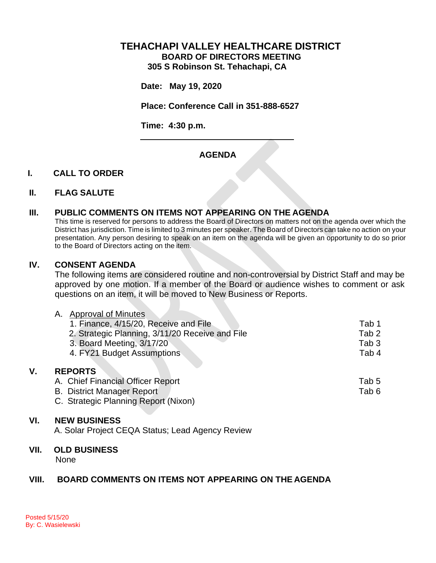## **TEHACHAPI VALLEY HEALTHCARE DISTRICT BOARD OF DIRECTORS MEETING 305 S Robinson St. Tehachapi, CA**

**Date: May 19, 2020**

**Place: Conference Call in 351-888-6527**

**Time: 4:30 p.m.**

# **AGENDA**

### **I. CALL TO ORDER**

#### **II. FLAG SALUTE**

### **III. PUBLIC COMMENTS ON ITEMS NOT APPEARING ON THE AGENDA**

This time is reserved for persons to address the Board of Directors on matters not on the agenda over which the District has jurisdiction. Time is limited to 3 minutes per speaker. The Board of Directors can take no action on your presentation. Any person desiring to speak on an item on the agenda will be given an opportunity to do so prior to the Board of Directors acting on the item.

#### **IV. CONSENT AGENDA**

The following items are considered routine and non-controversial by District Staff and may be approved by one motion. If a member of the Board or audience wishes to comment or ask questions on an item, it will be moved to New Business or Reports.

|    | <b>Approval of Minutes</b><br>Α.                |                  |
|----|-------------------------------------------------|------------------|
|    | 1. Finance, 4/15/20, Receive and File           | Tab 1            |
|    | 2. Strategic Planning, 3/11/20 Receive and File | Tab <sub>2</sub> |
|    | 3. Board Meeting, 3/17/20                       | Tab 3            |
|    | 4. FY21 Budget Assumptions                      | Tab 4            |
| V. | <b>REPORTS</b>                                  |                  |
|    | A. Chief Financial Officer Report               | Tab 5            |
|    | <b>B.</b> District Manager Report               | Tab 6            |

C. Strategic Planning Report (Nixon)

#### **VI. NEW BUSINESS**

A. Solar Project CEQA Status; Lead Agency Review

## **VII. OLD BUSINESS**

None

## **VIII. BOARD COMMENTS ON ITEMS NOT APPEARING ON THE AGENDA**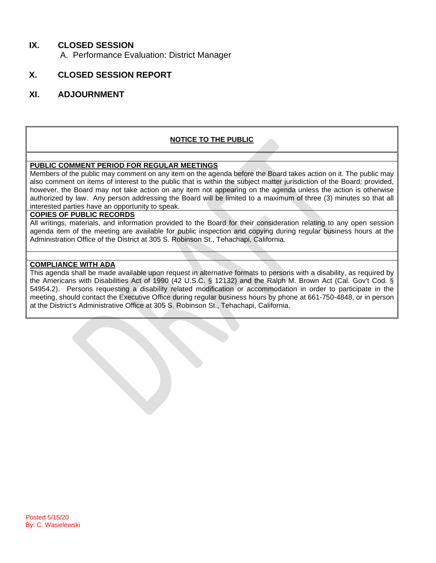# **IX. CLOSED SESSION**

A. Performance Evaluation: District Manager

# **X. CLOSED SESSION REPORT**

## **XI. ADJOURNMENT**

## **NOTICE TO THE PUBLIC**

#### **PUBLIC COMMENT PERIOD FOR REGULAR MEETINGS**

Members of the public may comment on any item on the agenda before the Board takes action on it. The public may also comment on items of interest to the public that is within the subject matter jurisdiction of the Board; provided, however, the Board may not take action on any item not appearing on the agenda unless the action is otherwise authorized by law. Any person addressing the Board will be limited to a maximum of three (3) minutes so that all interested parties have an opportunity to speak.

#### **COPIES OF PUBLIC RECORDS**

All writings, materials, and information provided to the Board for their consideration relating to any open session agenda item of the meeting are available for public inspection and copying during regular business hours at the Administration Office of the District at 305 S. Robinson St., Tehachapi, California.

#### **COMPLIANCE WITH ADA**

This agenda shall be made available upon request in alternative formats to persons with a disability, as required by the Americans with Disabilities Act of 1990 (42 U.S.C. § 12132) and the Ralph M. Brown Act (Cal. Gov't Cod. § 54954.2). Persons requesting a disability related modification or accommodation in order to participate in the meeting, should contact the Executive Office during regular business hours by phone at 661-750-4848, or in person at the District's Administrative Office at 305 S. Robinson St., Tehachapi, California.